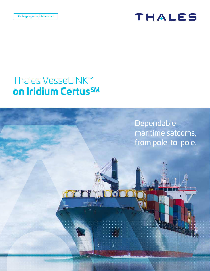# THALES

### Thales VesseLINK™ on Iridium Certus<sup>SM</sup>